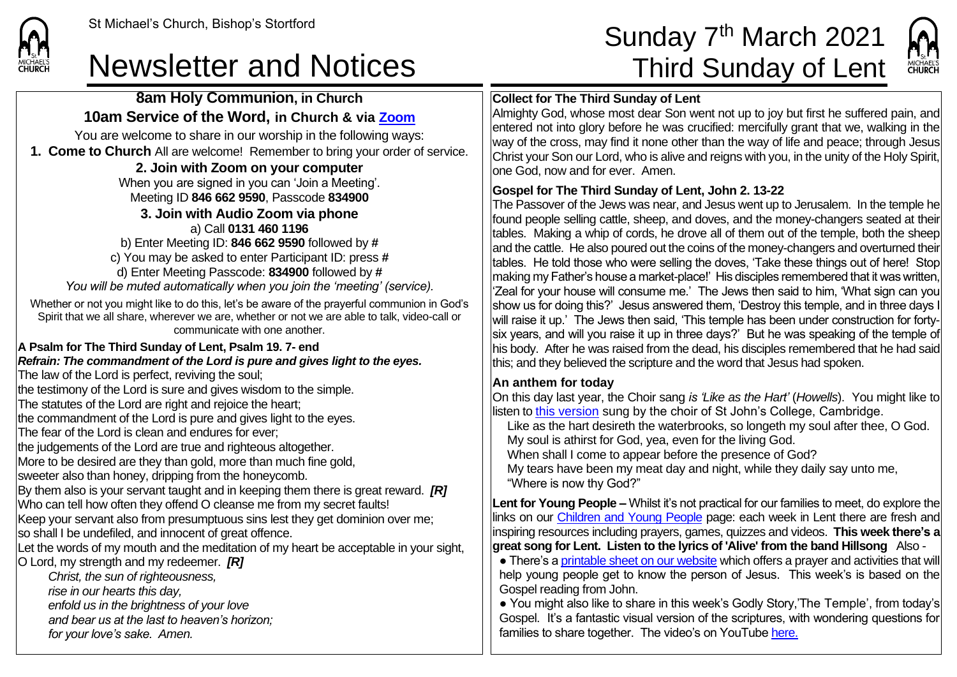**CHURCH** 

## Newsletter and Notices Third Sunday of Lent

# St Michael's Church, Bishop's Stortford  $\textsf{Sunday 7}^{\textsf{th}}$  March 2021



### **Collect for The Third Sunday of Lent**

Almighty God, whose most dear Son went not up to joy but first he suffered pain, and entered not into glory before he was crucified: mercifully grant that we, walking in the way of the cross, may find it none other than the way of life and peace; through Jesus Christ your Son our Lord, who is alive and reigns with you, in the unity of the Holy Spirit, one God, now and for ever. Amen.

#### **Gospel for The Third Sunday of Lent, John 2. 13-22**

The Passover of the Jews was near, and Jesus went up to Jerusalem. In the temple he found people selling cattle, sheep, and doves, and the money-changers seated at their tables. Making a whip of cords, he drove all of them out of the temple, both the sheep and the cattle. He also poured out the coins of the money-changers and overturned their tables. He told those who were selling the doves, 'Take these things out of here! Stop making my Father's house a market-place!' His disciples remembered that it was written, 'Zeal for your house will consume me.' The Jews then said to him, 'What sign can you show us for doing this?' Jesus answered them, 'Destroy this temple, and in three days I will raise it up.' The Jews then said, 'This temple has been under construction for fortysix years, and will you raise it up in three days?' But he was speaking of the temple of his body. After he was raised from the dead, his disciples remembered that he had said this; and they believed the scripture and the word that Jesus had spoken.

#### **An anthem for today**

On this day last year, the Choir sang *is 'Like as the Hart'* (*Howells*). You might like to llisten to [this version](https://www.youtube.com/watch?v=AdHDAhBERl8) sung by the choir of St John's College, Cambridge,

Like as the hart desireth the waterbrooks, so longeth my soul after thee, O God. My soul is athirst for God, yea, even for the living God.

When shall I come to appear before the presence of God?

My tears have been my meat day and night, while they daily say unto me, "Where is now thy God?"

**Lent for Young People –** Whilst it's not practical for our families to meet, do explore the links on our [Children and Young People](https://saintmichaelweb.org.uk/Groups/310496/Children_and_Young.aspx) page: each week in Lent there are fresh and inspiring resources including prayers, games, quizzes and videos. **This week there's a great song for Lent. Listen to the lyrics of 'Alive' from the band Hillsong** Also -

• There's [a printable sheet on our website](https://saintmichaelweb.org.uk/Groups/310496/Children_and_Young.aspx) which offers a prayer and activities that will help young people get to know the person of Jesus. This week's is based on the Gospel reading from John.

● You might also like to share in this week's Godly Story,'The Temple', from today's Gospel. It's a fantastic visual version of the scriptures, with wondering questions for families to share together. The video's on YouTub[e here.](https://www.youtube.com/watch?v=PmiA_AEyYYI)

**8am Holy Communion, in Church 10am Service of the Word, in Church & via [Zoom](https://zoom.us/)** You are welcome to share in our worship in the following ways:

**1. Come to Church** All are welcome! Remember to bring your order of service.

#### **2. Join with Zoom on your computer**

When you are signed in you can 'Join a Meeting'. Meeting ID **846 662 9590**, Passcode **834900 3. Join with Audio Zoom via phone**  a) Call **0131 460 1196** b) Enter Meeting ID: **846 662 9590** followed by **#**

c) You may be asked to enter Participant ID: press **#** d) Enter Meeting Passcode: **834900** followed by **#** *You will be muted automatically when you join the 'meeting' (service).*

Whether or not you might like to do this, let's be aware of the prayerful communion in God's Spirit that we all share, wherever we are, whether or not we are able to talk, video-call or communicate with one another.

#### **A Psalm for The Third Sunday of Lent, Psalm 19. 7- end**

*Refrain: The commandment of the Lord is pure and gives light to the eyes.*

The law of the Lord is perfect, reviving the soul;

the testimony of the Lord is sure and gives wisdom to the simple.

The statutes of the Lord are right and rejoice the heart;

the commandment of the Lord is pure and gives light to the eyes.

The fear of the Lord is clean and endures for ever;

the judgements of the Lord are true and righteous altogether.

More to be desired are they than gold, more than much fine gold,

sweeter also than honey, dripping from the honeycomb.

By them also is your servant taught and in keeping them there is great reward. *[R]* Who can tell how often they offend O cleanse me from my secret faults!

Keep your servant also from presumptuous sins lest they get dominion over me; so shall I be undefiled, and innocent of great offence.

Let the words of my mouth and the meditation of my heart be acceptable in your sight,

O Lord, my strength and my redeemer. *[R]*

*Christ, the sun of righteousness,*

*rise in our hearts this day,*

- *enfold us in the brightness of your love*
- *and bear us at the last to heaven's horizon;*

*for your love's sake. Amen.*